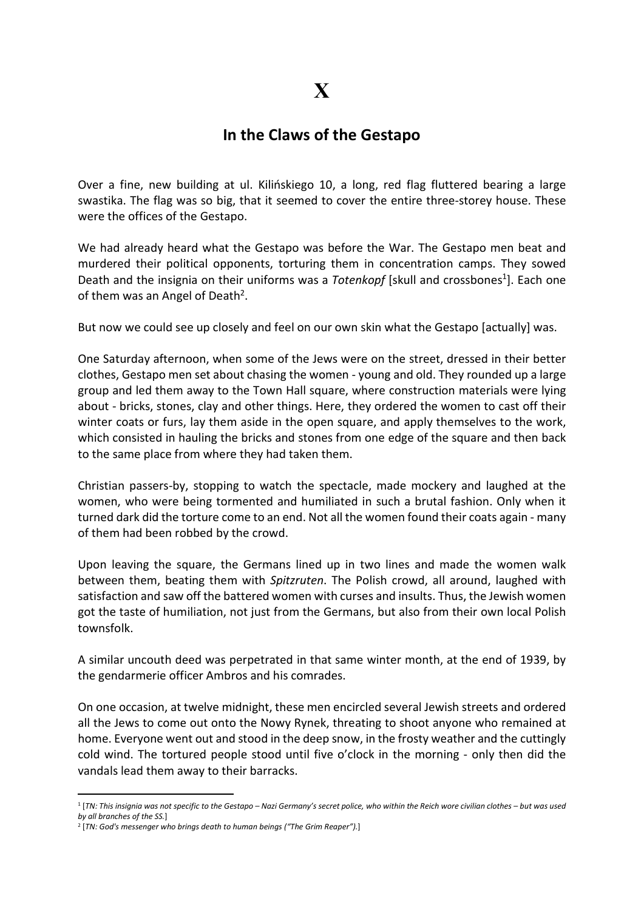## In the Claws of the Gestapo

Over a fine, new building at ul. Kilińskiego 10, a long, red flag fluttered bearing a large swastika. The flag was so big, that it seemed to cover the entire three-storey house. These were the offices of the Gestapo.

We had already heard what the Gestapo was before the War. The Gestapo men beat and murdered their political opponents, torturing them in concentration camps. They sowed Death and the insignia on their uniforms was a Totenkopf [skull and crossbones<sup>1</sup>]. Each one of them was an Angel of Death<sup>2</sup>.

But now we could see up closely and feel on our own skin what the Gestapo [actually] was.

One Saturday afternoon, when some of the Jews were on the street, dressed in their better clothes, Gestapo men set about chasing the women - young and old. They rounded up a large group and led them away to the Town Hall square, where construction materials were lying about - bricks, stones, clay and other things. Here, they ordered the women to cast off their winter coats or furs, lay them aside in the open square, and apply themselves to the work, which consisted in hauling the bricks and stones from one edge of the square and then back to the same place from where they had taken them.

Christian passers-by, stopping to watch the spectacle, made mockery and laughed at the women, who were being tormented and humiliated in such a brutal fashion. Only when it turned dark did the torture come to an end. Not all the women found their coats again - many of them had been robbed by the crowd.

Upon leaving the square, the Germans lined up in two lines and made the women walk between them, beating them with Spitzruten. The Polish crowd, all around, laughed with satisfaction and saw off the battered women with curses and insults. Thus, the Jewish women got the taste of humiliation, not just from the Germans, but also from their own local Polish townsfolk.

A similar uncouth deed was perpetrated in that same winter month, at the end of 1939, by the gendarmerie officer Ambros and his comrades.

On one occasion, at twelve midnight, these men encircled several Jewish streets and ordered all the Jews to come out onto the Nowy Rynek, threating to shoot anyone who remained at home. Everyone went out and stood in the deep snow, in the frosty weather and the cuttingly cold wind. The tortured people stood until five o'clock in the morning - only then did the vandals lead them away to their barracks.

<sup>1</sup> [TN: This insignia was not specific to the Gestapo – Nazi Germany's secret police, who within the Reich wore civilian clothes – but was used by all branches of the SS.]

<sup>&</sup>lt;sup>2</sup> [TN: God's messenger who brings death to human beings ("The Grim Reaper").]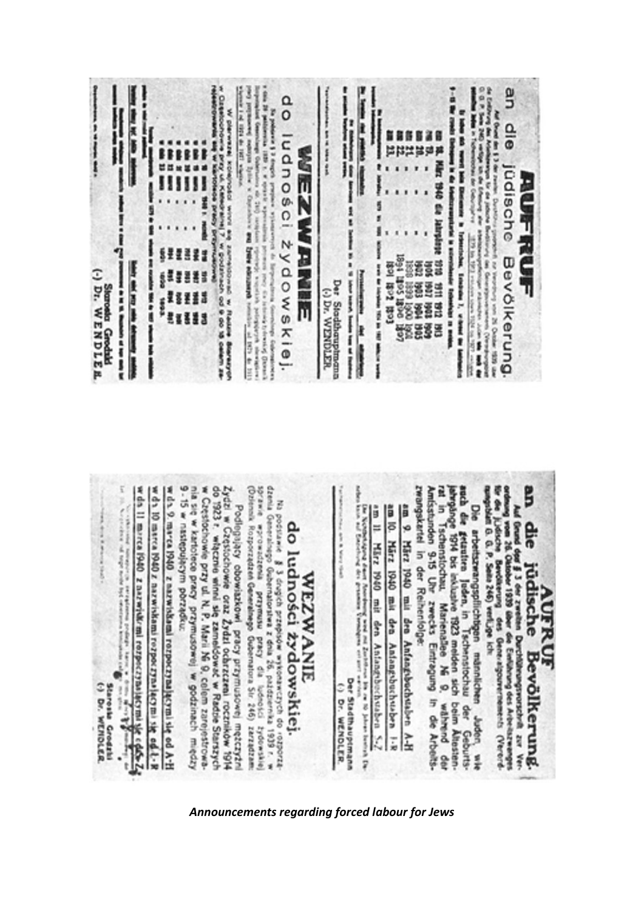|                                       |        | $^{\mathtt{a}}_{\mathtt{o}}$<br>6<br>٥<br>C<br>Ω                                          | i<br>f.                                                              | 當彈                 | 읙<br>$\frac{\mathsf{D}}{\mathsf{B}}$<br>üdische<br>g<br>ū |
|---------------------------------------|--------|-------------------------------------------------------------------------------------------|----------------------------------------------------------------------|--------------------|-----------------------------------------------------------|
| Ξ<br>år.<br>M<br>а<br><b>LEE</b><br>ť | ź<br>8 | k z<br>$\Omega$<br>O<br>wskie<br>5429<br><b>GRAU</b><br>t<br>ł<br>سسا<br>٠<br>E<br>ă<br>ĵ | ¥.<br>ā<br><b>Sign</b><br>WENDLER<br>js<br>9<br>į<br><b>GELEPOIN</b> | ë<br>홆<br>šŝ<br>ÏŠ | ۹<br>Bevölkerung.<br>i                                    |

| Podlegający obowiazkowi pracy przymusowej mężczyżni<br>Zydzi w Częstochowie oraz Żydzi ochrzczeni roczników 1914<br>do 1923 r. włącznie winni się zameldować w Radzie Starszych<br>w Częstochowie przy ul N. P. Marii Ni 9, celem zarej<br>9-15 w następującym porządku:<br>w da 11 marca 1940 z nazwielu mi rozpoczyniącymi składy dobroni z Cartes 24<br>w da 10 marca 1940 z nazwiskami rozpotzyna jącymi się od t-R<br>his sig w kartotece pracy przymusowej w godzinach między<br>w da 9. marca 1940 z nazwiskami rozpoczynającymi się od A-H<br>$\mathcal{N}_\text{c}$ compared to the first result of order to density the property of $\mathcal{N}_\text{c}$<br>Staronia Grodzki<br>(-) Dr. WENDLER | dzenia<br><b>DCARTO</b><br>lprawie wprowadzenia przymusu pracy dla luconosci<br>Dziennik Rozporządzeń Generalnego Gubernatora Sir 246)<br>Ri postuane ĝ 3 drugio prespera arkeonarezych do rozporta.<br>Ni postuan demontantarea z drugio pientremento 1939 r.<br>do ludności żydowskiej.<br><b>WEZWANIE</b><br>mezpezzez<br><b>Zydowskiej</b> | rwangskartel in der Reihenfolge:<br>Das Notthebalgang diamet Josephung weel mit Zentriffense bis en 10 jahren bestrachte<br>hann nif Enstehung des gesammen Vermangens ert zet er met werden.<br>om il. März 1940 mit den Antang-buchstaben<br>an 10.<br>9<br>März 1940 mit den Anfangsbuchstaben A-H<br>März 1940 mit den Antangsbuchstaben<br>Der Stadthauptmann<br>Pr.<br><b>WENDLER</b><br>k<br>ī<br>7 | Die arbettszwangspflichtigen männlichen Jadon, wie<br>wird die getauline Jadon, in Tschenstochau der Geburts-<br>ahrgänge 1914 bis inklusive 1923 melden sich beim Altesten-<br>zei in Tschensticchau. Mänienallee Ni 9. während der<br>Am<br>Auf Geund don § 3 der zweiten Durchtheungsprotzelnit zur Vertrannung von 25 Ganzeln 1929 über die Einführung des Arbeitstrumenten Vertranden<br>Ur die Urdische Bendikerung des Generatgenrennenen: (Vertranden<br>đie<br>jüdische<br>AUFRUF<br><b>Bevölkerung</b> |
|-------------------------------------------------------------------------------------------------------------------------------------------------------------------------------------------------------------------------------------------------------------------------------------------------------------------------------------------------------------------------------------------------------------------------------------------------------------------------------------------------------------------------------------------------------------------------------------------------------------------------------------------------------------------------------------------------------------|------------------------------------------------------------------------------------------------------------------------------------------------------------------------------------------------------------------------------------------------------------------------------------------------------------------------------------------------|------------------------------------------------------------------------------------------------------------------------------------------------------------------------------------------------------------------------------------------------------------------------------------------------------------------------------------------------------------------------------------------------------------|------------------------------------------------------------------------------------------------------------------------------------------------------------------------------------------------------------------------------------------------------------------------------------------------------------------------------------------------------------------------------------------------------------------------------------------------------------------------------------------------------------------|
|-------------------------------------------------------------------------------------------------------------------------------------------------------------------------------------------------------------------------------------------------------------------------------------------------------------------------------------------------------------------------------------------------------------------------------------------------------------------------------------------------------------------------------------------------------------------------------------------------------------------------------------------------------------------------------------------------------------|------------------------------------------------------------------------------------------------------------------------------------------------------------------------------------------------------------------------------------------------------------------------------------------------------------------------------------------------|------------------------------------------------------------------------------------------------------------------------------------------------------------------------------------------------------------------------------------------------------------------------------------------------------------------------------------------------------------------------------------------------------------|------------------------------------------------------------------------------------------------------------------------------------------------------------------------------------------------------------------------------------------------------------------------------------------------------------------------------------------------------------------------------------------------------------------------------------------------------------------------------------------------------------------|

**LOOKORD BARBOTS** 

**SONSKY** 

Announcements regarding forced labour for Jews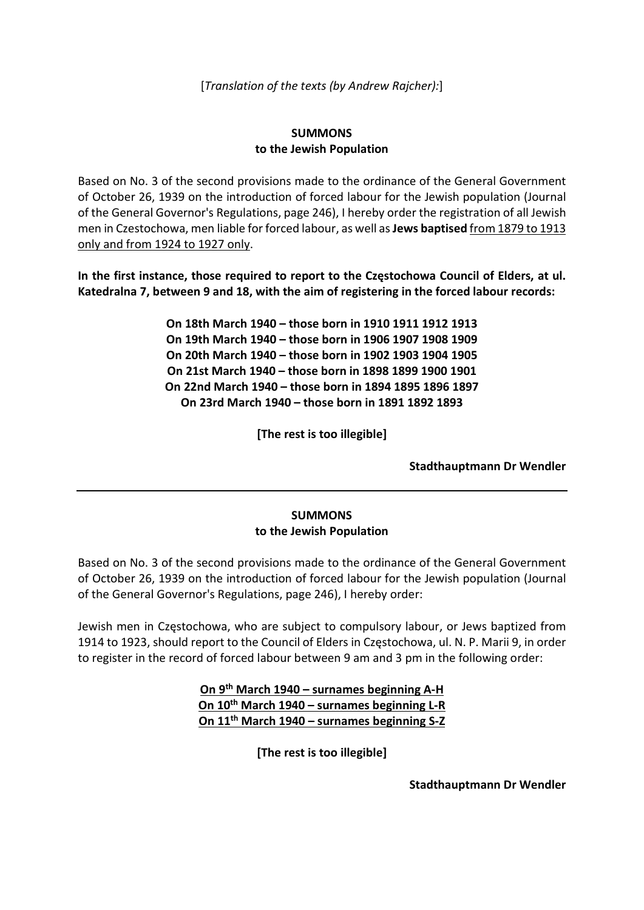[Translation of the texts (by Andrew Rajcher):]

## SUMMONS to the Jewish Population

Based on No. 3 of the second provisions made to the ordinance of the General Government of October 26, 1939 on the introduction of forced labour for the Jewish population (Journal of the General Governor's Regulations, page 246), I hereby order the registration of all Jewish men in Czestochowa, men liable for forced labour, as well as Jews baptised from 1879 to 1913 only and from 1924 to 1927 only.

In the first instance, those required to report to the Częstochowa Council of Elders, at ul. Katedralna 7, between 9 and 18, with the aim of registering in the forced labour records:

> On 18th March 1940 – those born in 1910 1911 1912 1913 On 19th March 1940 – those born in 1906 1907 1908 1909 On 20th March 1940 – those born in 1902 1903 1904 1905 On 21st March 1940 – those born in 1898 1899 1900 1901 On 22nd March 1940 – those born in 1894 1895 1896 1897 On 23rd March 1940 – those born in 1891 1892 1893

> > [The rest is too illegible]

Stadthauptmann Dr Wendler

## SUMMONS to the Jewish Population

Based on No. 3 of the second provisions made to the ordinance of the General Government of October 26, 1939 on the introduction of forced labour for the Jewish population (Journal of the General Governor's Regulations, page 246), I hereby order:

Jewish men in Częstochowa, who are subject to compulsory labour, or Jews baptized from 1914 to 1923, should report to the Council of Elders in Częstochowa, ul. N. P. Marii 9, in order to register in the record of forced labour between 9 am and 3 pm in the following order:

> On 9th March 1940 – surnames beginning A-H On 10th March 1940 – surnames beginning L-R On 11th March 1940 – surnames beginning S-Z

> > [The rest is too illegible]

Stadthauptmann Dr Wendler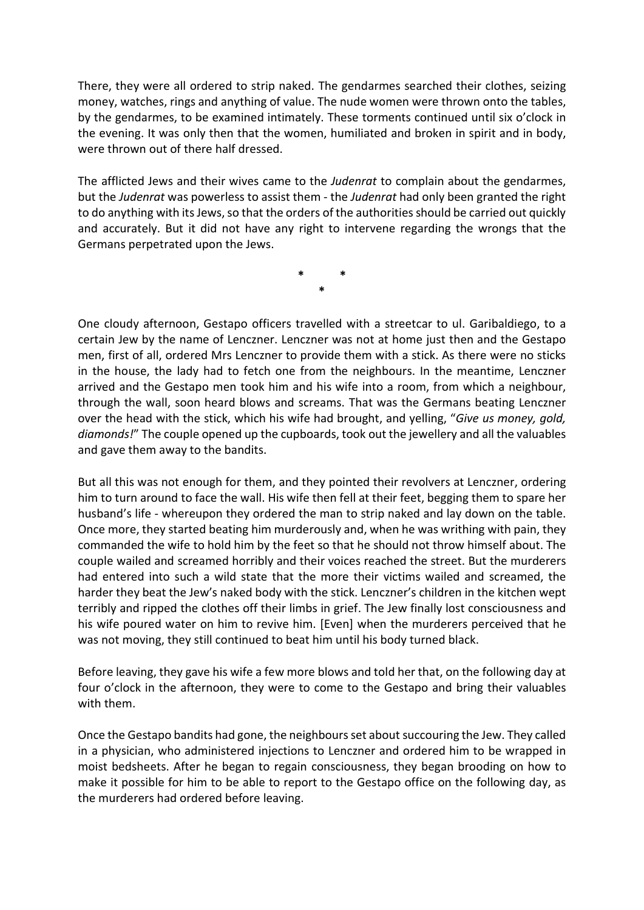There, they were all ordered to strip naked. The gendarmes searched their clothes, seizing money, watches, rings and anything of value. The nude women were thrown onto the tables, by the gendarmes, to be examined intimately. These torments continued until six o'clock in the evening. It was only then that the women, humiliated and broken in spirit and in body, were thrown out of there half dressed.

The afflicted Jews and their wives came to the *Judenrat* to complain about the gendarmes, but the Judenrat was powerless to assist them - the Judenrat had only been granted the right to do anything with its Jews, so that the orders of the authorities should be carried out quickly and accurately. But it did not have any right to intervene regarding the wrongs that the Germans perpetrated upon the Jews.

> \* \* \*

One cloudy afternoon, Gestapo officers travelled with a streetcar to ul. Garibaldiego, to a certain Jew by the name of Lenczner. Lenczner was not at home just then and the Gestapo men, first of all, ordered Mrs Lenczner to provide them with a stick. As there were no sticks in the house, the lady had to fetch one from the neighbours. In the meantime, Lenczner arrived and the Gestapo men took him and his wife into a room, from which a neighbour, through the wall, soon heard blows and screams. That was the Germans beating Lenczner over the head with the stick, which his wife had brought, and yelling, "Give us money, gold, diamonds!" The couple opened up the cupboards, took out the jewellery and all the valuables and gave them away to the bandits.

But all this was not enough for them, and they pointed their revolvers at Lenczner, ordering him to turn around to face the wall. His wife then fell at their feet, begging them to spare her husband's life - whereupon they ordered the man to strip naked and lay down on the table. Once more, they started beating him murderously and, when he was writhing with pain, they commanded the wife to hold him by the feet so that he should not throw himself about. The couple wailed and screamed horribly and their voices reached the street. But the murderers had entered into such a wild state that the more their victims wailed and screamed, the harder they beat the Jew's naked body with the stick. Lenczner's children in the kitchen wept terribly and ripped the clothes off their limbs in grief. The Jew finally lost consciousness and his wife poured water on him to revive him. [Even] when the murderers perceived that he was not moving, they still continued to beat him until his body turned black.

Before leaving, they gave his wife a few more blows and told her that, on the following day at four o'clock in the afternoon, they were to come to the Gestapo and bring their valuables with them.

Once the Gestapo bandits had gone, the neighbours set about succouring the Jew. They called in a physician, who administered injections to Lenczner and ordered him to be wrapped in moist bedsheets. After he began to regain consciousness, they began brooding on how to make it possible for him to be able to report to the Gestapo office on the following day, as the murderers had ordered before leaving.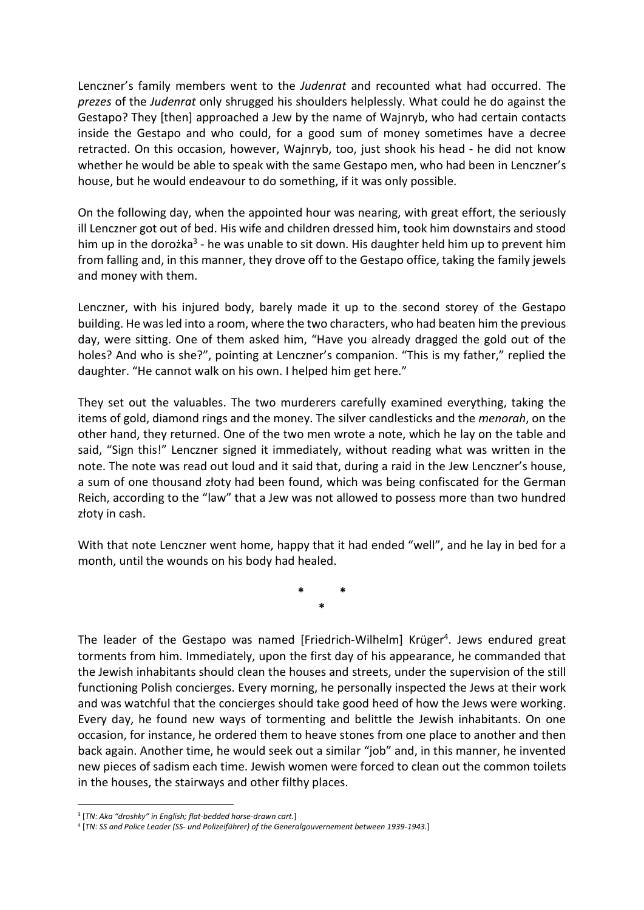Lenczner's family members went to the Judenrat and recounted what had occurred. The prezes of the Judenrat only shrugged his shoulders helplessly. What could he do against the Gestapo? They [then] approached a Jew by the name of Wajnryb, who had certain contacts inside the Gestapo and who could, for a good sum of money sometimes have a decree retracted. On this occasion, however, Wajnryb, too, just shook his head - he did not know whether he would be able to speak with the same Gestapo men, who had been in Lenczner's house, but he would endeavour to do something, if it was only possible.

On the following day, when the appointed hour was nearing, with great effort, the seriously ill Lenczner got out of bed. His wife and children dressed him, took him downstairs and stood him up in the dorożka<sup>3</sup> - he was unable to sit down. His daughter held him up to prevent him from falling and, in this manner, they drove off to the Gestapo office, taking the family jewels and money with them.

Lenczner, with his injured body, barely made it up to the second storey of the Gestapo building. He was led into a room, where the two characters, who had beaten him the previous day, were sitting. One of them asked him, "Have you already dragged the gold out of the holes? And who is she?", pointing at Lenczner's companion. "This is my father," replied the daughter. "He cannot walk on his own. I helped him get here."

They set out the valuables. The two murderers carefully examined everything, taking the items of gold, diamond rings and the money. The silver candlesticks and the *menorah*, on the other hand, they returned. One of the two men wrote a note, which he lay on the table and said, "Sign this!" Lenczner signed it immediately, without reading what was written in the note. The note was read out loud and it said that, during a raid in the Jew Lenczner's house, a sum of one thousand złoty had been found, which was being confiscated for the German Reich, according to the "law" that a Jew was not allowed to possess more than two hundred złoty in cash.

With that note Lenczner went home, happy that it had ended "well", and he lay in bed for a month, until the wounds on his body had healed.

> \* \* \*

The leader of the Gestapo was named [Friedrich-Wilhelm] Krüger<sup>4</sup>. Jews endured great torments from him. Immediately, upon the first day of his appearance, he commanded that the Jewish inhabitants should clean the houses and streets, under the supervision of the still functioning Polish concierges. Every morning, he personally inspected the Jews at their work and was watchful that the concierges should take good heed of how the Jews were working. Every day, he found new ways of tormenting and belittle the Jewish inhabitants. On one occasion, for instance, he ordered them to heave stones from one place to another and then back again. Another time, he would seek out a similar "job" and, in this manner, he invented new pieces of sadism each time. Jewish women were forced to clean out the common toilets in the houses, the stairways and other filthy places.

<sup>&</sup>lt;sup>3</sup> [TN: Aka "droshky" in English; flat-bedded horse-drawn cart.]

<sup>4</sup> [TN: SS and Police Leader (SS- und Polizeiführer) of the Generalgouvernement between 1939-1943.]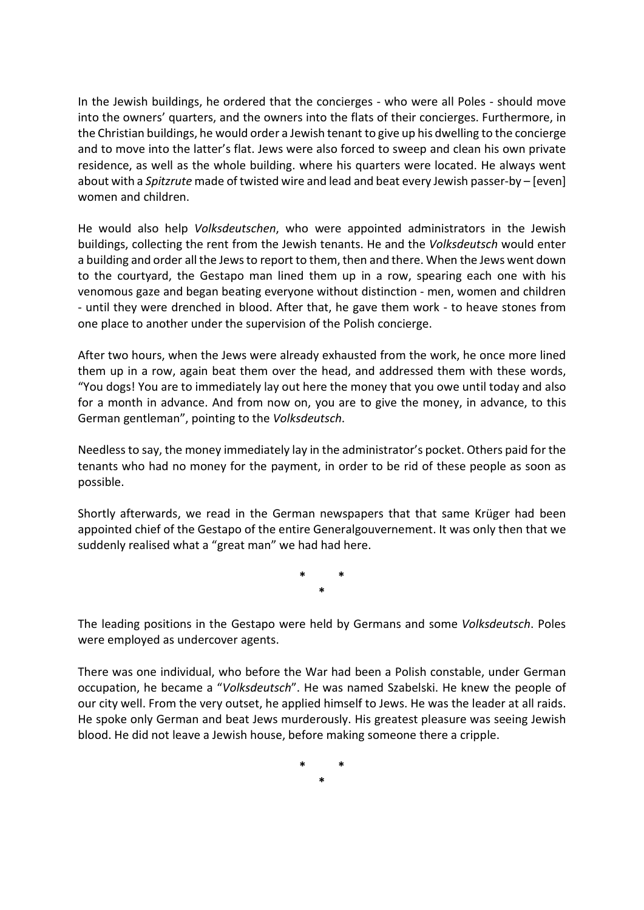In the Jewish buildings, he ordered that the concierges - who were all Poles - should move into the owners' quarters, and the owners into the flats of their concierges. Furthermore, in the Christian buildings, he would order a Jewish tenant to give up his dwelling to the concierge and to move into the latter's flat. Jews were also forced to sweep and clean his own private residence, as well as the whole building. where his quarters were located. He always went about with a *Spitzrute* made of twisted wire and lead and beat every Jewish passer-by – [even] women and children.

He would also help Volksdeutschen, who were appointed administrators in the Jewish buildings, collecting the rent from the Jewish tenants. He and the Volksdeutsch would enter a building and order all the Jews to report to them, then and there. When the Jews went down to the courtyard, the Gestapo man lined them up in a row, spearing each one with his venomous gaze and began beating everyone without distinction - men, women and children - until they were drenched in blood. After that, he gave them work - to heave stones from one place to another under the supervision of the Polish concierge.

After two hours, when the Jews were already exhausted from the work, he once more lined them up in a row, again beat them over the head, and addressed them with these words, "You dogs! You are to immediately lay out here the money that you owe until today and also for a month in advance. And from now on, you are to give the money, in advance, to this German gentleman", pointing to the Volksdeutsch.

Needless to say, the money immediately lay in the administrator's pocket. Others paid for the tenants who had no money for the payment, in order to be rid of these people as soon as possible.

Shortly afterwards, we read in the German newspapers that that same Krüger had been appointed chief of the Gestapo of the entire Generalgouvernement. It was only then that we suddenly realised what a "great man" we had had here.

> \* \* \*

The leading positions in the Gestapo were held by Germans and some Volksdeutsch. Poles were employed as undercover agents.

There was one individual, who before the War had been a Polish constable, under German occupation, he became a "Volksdeutsch". He was named Szabelski. He knew the people of our city well. From the very outset, he applied himself to Jews. He was the leader at all raids. He spoke only German and beat Jews murderously. His greatest pleasure was seeing Jewish blood. He did not leave a Jewish house, before making someone there a cripple.

> \* \* \*